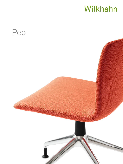# Wilkhahn

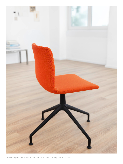

The appealing shape of the curved, fully upholstered shell is an inviting place to take a seat.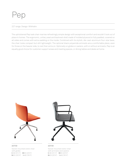# Pep

### 227 range. Design: Wilkhahn

The upholstered Pep task chair marries refreshingly simple design with exceptional comfort and wouldn't look out of place in homes. The ergonomic, unitary seat and backrest shell made of molded plywood is fully padded, covered on all sides and comes with extra wadding on the inside. Combined with its stylish, die-cast-aluminum four-star base, the chair looks compact but still lightweight. The optional black polyamide armrests are a comfortable place, even for those on the heavier side, to rest their arms on. Optionally on glides or casters, with or without armrests, Pep is an equally good choice for customer support areas and meeting spaces, or dining tables and desks at home.



**227/33** Swivel-mounted visitor chair with glides  $\boxminus$  80 (311/2")  $\boxminus$  60 (235/8")  $\Box$  53 (20%")  $\Box$  46 (181/8")



### **227/33**

Swivel-mounted visitor chair with armrests and casters  $\boxminus$  80 (311/2")  $\boxminus$  60 (235/8") ■53 (20%") ■46 (18%")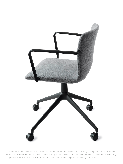

The contours of the seat shell, armrests and base frame coordinate with each other perfectly, making the chair easy to combine with a variety of table shapes. And what's more, with high-luster-polished or black-coated frame surfaces and the wide range of upholstery materials and colors, Pep is an ideal match for a whole range of interior design concepts.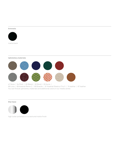#### **Armrests**



matte black

**Upholstery materials**



47 Nova | 54 Pitch | 60 Blend | 62 Bond | 63 Auris | 66 Lona | 68 Kvadrat Remix 2 | 69 Granite | 91 Kvadrat Steelcut Trio 3 | 74 leather | 87 leather You can find all upholstery materials and additional colors in our media center.

#### **Star base**



high luster polished or in a textured matte finish